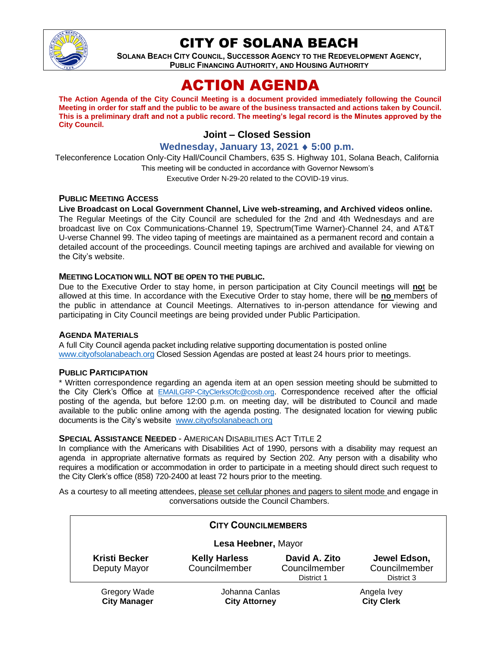

## CITY OF SOLANA BEACH

**SOLANA BEACH CITY COUNCIL, SUCCESSOR AGENCY TO THE REDEVELOPMENT AGENCY, PUBLIC FINANCING AUTHORITY, AND HOUSING AUTHORITY** 

# ACTION AGENDA

**The Action Agenda of the City Council Meeting is a document provided immediately following the Council Meeting in order for staff and the public to be aware of the business transacted and actions taken by Council. This is a preliminary draft and not a public record. The meeting's legal record is the Minutes approved by the City Council.**

### **Joint – Closed Session**

**Wednesday, January 13, 2021 5:00 p.m.**

Teleconference Location Only-City Hall/Council Chambers, 635 S. Highway 101, Solana Beach, California This meeting will be conducted in accordance with Governor Newsom's Executive Order N-29-20 related to the COVID-19 virus.

### **PUBLIC MEETING ACCESS**

### **Live Broadcast on Local Government Channel, Live web-streaming, and Archived videos online.**

The Regular Meetings of the City Council are scheduled for the 2nd and 4th Wednesdays and are broadcast live on Cox Communications-Channel 19, Spectrum(Time Warner)-Channel 24, and AT&T U-verse Channel 99. The video taping of meetings are maintained as a permanent record and contain a detailed account of the proceedings. Council meeting tapings are archived and available for viewing on the City's website.

### **MEETING LOCATION WILL NOT BE OPEN TO THE PUBLIC.**

Due to the Executive Order to stay home, in person participation at City Council meetings will **no**t be allowed at this time. In accordance with the Executive Order to stay home, there will be **no** members of the public in attendance at Council Meetings. Alternatives to in-person attendance for viewing and participating in City Council meetings are being provided under Public Participation.

### **AGENDA MATERIALS**

A full City Council agenda packet including relative supporting documentation is posted online [www.cityofsolanabeach.org](https://urldefense.proofpoint.com/v2/url?u=http-3A__www.cityofsolanabeach.org&d=DwQFAg&c=euGZstcaTDllvimEN8b7jXrwqOf-v5A_CdpgnVfiiMM&r=1XAsCUuqwK_tji2t0s1uIQ&m=wny2RVfZJ2tN24LkqZmkUWNpwL_peNtTZUBlTBZiMM4&s=6ATguqxJUOD7VVtloplAbyuyNaVcEh6Fl4q1iw55lCY&e=) Closed Session Agendas are posted at least 24 hours prior to meetings.

#### **PUBLIC PARTICIPATION**

\* Written correspondence regarding an agenda item at an open session meeting should be submitted to the City Clerk's Office at [EMAILGRP-CityClerksOfc@cosb.org](mailto:EMAILGRP-CityClerksOfc@cosb.org). Correspondence received after the official posting of the agenda, but before 12:00 p.m. on meeting day, will be distributed to Council and made available to the public online among with the agenda posting. The designated location for viewing public documents is the City's website [www.cityofsolanabeach.org](http://www.cityofsolanabeach.org/)

#### **SPECIAL ASSISTANCE NEEDED** - AMERICAN DISABILITIES ACT TITLE 2

In compliance with the Americans with Disabilities Act of 1990, persons with a disability may request an agenda in appropriate alternative formats as required by Section 202. Any person with a disability who requires a modification or accommodation in order to participate in a meeting should direct such request to the City Clerk's office (858) 720-2400 at least 72 hours prior to the meeting.

As a courtesy to all meeting attendees, please set cellular phones and pagers to silent mode and engage in conversations outside the Council Chambers.

| <b>CITY COUNCILMEMBERS</b>                 |                                        |                                              |                                             |
|--------------------------------------------|----------------------------------------|----------------------------------------------|---------------------------------------------|
| Lesa Heebner, Mayor                        |                                        |                                              |                                             |
| <b>Kristi Becker</b><br>Deputy Mayor       | <b>Kelly Harless</b><br>Councilmember  | David A. Zito<br>Councilmember<br>District 1 | Jewel Edson,<br>Councilmember<br>District 3 |
| <b>Gregory Wade</b><br><b>City Manager</b> | Johanna Canlas<br><b>City Attorney</b> |                                              | Angela Ivey<br><b>City Clerk</b>            |